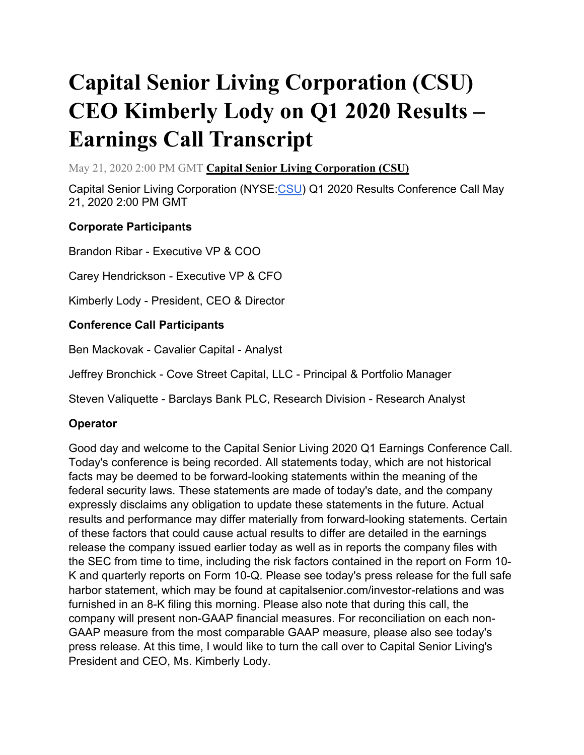# **Capital Senior Living Corporation (CSU) CEO Kimberly Lody on Q1 2020 Results – Earnings Call Transcript**

May 21, 2020 2:00 PM GMT **[Capital Senior Living Corporation \(CSU\)](https://seekingalpha.com/symbol/CSU?source=content_type%3Areact%7Csection%3Amain_content%7Csection_asset%3Ameta%7Cfirst_level_url%3Aarticle%7Csymbol%3ACSU)**

Capital Senior Living Corporation (NYSE[:CSU\)](https://seekingalpha.com/symbol/CSU?source=content_type%3Areact%7Csection%3Amain_content%7Cbutton%3Abody_link) Q1 2020 Results Conference Call May 21, 2020 2:00 PM GMT

### **Corporate Participants**

Brandon Ribar - Executive VP & COO

Carey Hendrickson - Executive VP & CFO

Kimberly Lody - President, CEO & Director

#### **Conference Call Participants**

Ben Mackovak - Cavalier Capital - Analyst

Jeffrey Bronchick - Cove Street Capital, LLC - Principal & Portfolio Manager

Steven Valiquette - Barclays Bank PLC, Research Division - Research Analyst

#### **Operator**

Good day and welcome to the Capital Senior Living 2020 Q1 Earnings Conference Call. Today's conference is being recorded. All statements today, which are not historical facts may be deemed to be forward-looking statements within the meaning of the federal security laws. These statements are made of today's date, and the company expressly disclaims any obligation to update these statements in the future. Actual results and performance may differ materially from forward-looking statements. Certain of these factors that could cause actual results to differ are detailed in the earnings release the company issued earlier today as well as in reports the company files with the SEC from time to time, including the risk factors contained in the report on Form 10- K and quarterly reports on Form 10-Q. Please see today's press release for the full safe harbor statement, which may be found at capitalsenior.com/investor-relations and was furnished in an 8-K filing this morning. Please also note that during this call, the company will present non-GAAP financial measures. For reconciliation on each non-GAAP measure from the most comparable GAAP measure, please also see today's press release. At this time, I would like to turn the call over to Capital Senior Living's President and CEO, Ms. Kimberly Lody.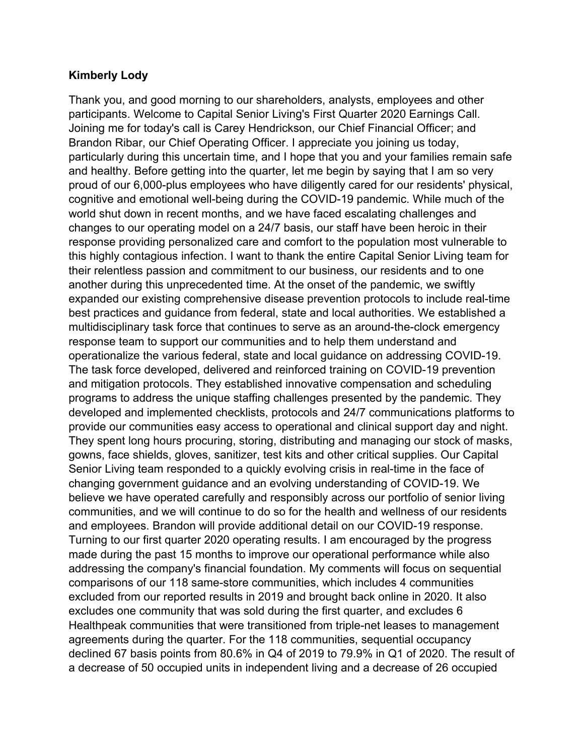#### **Kimberly Lody**

Thank you, and good morning to our shareholders, analysts, employees and other participants. Welcome to Capital Senior Living's First Quarter 2020 Earnings Call. Joining me for today's call is Carey Hendrickson, our Chief Financial Officer; and Brandon Ribar, our Chief Operating Officer. I appreciate you joining us today, particularly during this uncertain time, and I hope that you and your families remain safe and healthy. Before getting into the quarter, let me begin by saying that I am so very proud of our 6,000-plus employees who have diligently cared for our residents' physical, cognitive and emotional well-being during the COVID-19 pandemic. While much of the world shut down in recent months, and we have faced escalating challenges and changes to our operating model on a 24/7 basis, our staff have been heroic in their response providing personalized care and comfort to the population most vulnerable to this highly contagious infection. I want to thank the entire Capital Senior Living team for their relentless passion and commitment to our business, our residents and to one another during this unprecedented time. At the onset of the pandemic, we swiftly expanded our existing comprehensive disease prevention protocols to include real-time best practices and guidance from federal, state and local authorities. We established a multidisciplinary task force that continues to serve as an around-the-clock emergency response team to support our communities and to help them understand and operationalize the various federal, state and local guidance on addressing COVID-19. The task force developed, delivered and reinforced training on COVID-19 prevention and mitigation protocols. They established innovative compensation and scheduling programs to address the unique staffing challenges presented by the pandemic. They developed and implemented checklists, protocols and 24/7 communications platforms to provide our communities easy access to operational and clinical support day and night. They spent long hours procuring, storing, distributing and managing our stock of masks, gowns, face shields, gloves, sanitizer, test kits and other critical supplies. Our Capital Senior Living team responded to a quickly evolving crisis in real-time in the face of changing government guidance and an evolving understanding of COVID-19. We believe we have operated carefully and responsibly across our portfolio of senior living communities, and we will continue to do so for the health and wellness of our residents and employees. Brandon will provide additional detail on our COVID-19 response. Turning to our first quarter 2020 operating results. I am encouraged by the progress made during the past 15 months to improve our operational performance while also addressing the company's financial foundation. My comments will focus on sequential comparisons of our 118 same-store communities, which includes 4 communities excluded from our reported results in 2019 and brought back online in 2020. It also excludes one community that was sold during the first quarter, and excludes 6 Healthpeak communities that were transitioned from triple-net leases to management agreements during the quarter. For the 118 communities, sequential occupancy declined 67 basis points from 80.6% in Q4 of 2019 to 79.9% in Q1 of 2020. The result of a decrease of 50 occupied units in independent living and a decrease of 26 occupied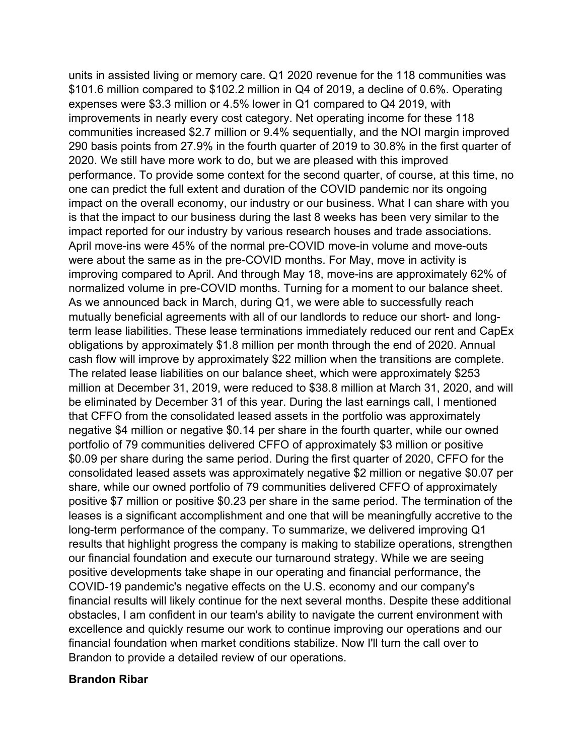units in assisted living or memory care. Q1 2020 revenue for the 118 communities was \$101.6 million compared to \$102.2 million in Q4 of 2019, a decline of 0.6%. Operating expenses were \$3.3 million or 4.5% lower in Q1 compared to Q4 2019, with improvements in nearly every cost category. Net operating income for these 118 communities increased \$2.7 million or 9.4% sequentially, and the NOI margin improved 290 basis points from 27.9% in the fourth quarter of 2019 to 30.8% in the first quarter of 2020. We still have more work to do, but we are pleased with this improved performance. To provide some context for the second quarter, of course, at this time, no one can predict the full extent and duration of the COVID pandemic nor its ongoing impact on the overall economy, our industry or our business. What I can share with you is that the impact to our business during the last 8 weeks has been very similar to the impact reported for our industry by various research houses and trade associations. April move-ins were 45% of the normal pre-COVID move-in volume and move-outs were about the same as in the pre-COVID months. For May, move in activity is improving compared to April. And through May 18, move-ins are approximately 62% of normalized volume in pre-COVID months. Turning for a moment to our balance sheet. As we announced back in March, during Q1, we were able to successfully reach mutually beneficial agreements with all of our landlords to reduce our short- and longterm lease liabilities. These lease terminations immediately reduced our rent and CapEx obligations by approximately \$1.8 million per month through the end of 2020. Annual cash flow will improve by approximately \$22 million when the transitions are complete. The related lease liabilities on our balance sheet, which were approximately \$253 million at December 31, 2019, were reduced to \$38.8 million at March 31, 2020, and will be eliminated by December 31 of this year. During the last earnings call, I mentioned that CFFO from the consolidated leased assets in the portfolio was approximately negative \$4 million or negative \$0.14 per share in the fourth quarter, while our owned portfolio of 79 communities delivered CFFO of approximately \$3 million or positive \$0.09 per share during the same period. During the first quarter of 2020, CFFO for the consolidated leased assets was approximately negative \$2 million or negative \$0.07 per share, while our owned portfolio of 79 communities delivered CFFO of approximately positive \$7 million or positive \$0.23 per share in the same period. The termination of the leases is a significant accomplishment and one that will be meaningfully accretive to the long-term performance of the company. To summarize, we delivered improving Q1 results that highlight progress the company is making to stabilize operations, strengthen our financial foundation and execute our turnaround strategy. While we are seeing positive developments take shape in our operating and financial performance, the COVID-19 pandemic's negative effects on the U.S. economy and our company's financial results will likely continue for the next several months. Despite these additional obstacles, I am confident in our team's ability to navigate the current environment with excellence and quickly resume our work to continue improving our operations and our financial foundation when market conditions stabilize. Now I'll turn the call over to Brandon to provide a detailed review of our operations.

#### **Brandon Ribar**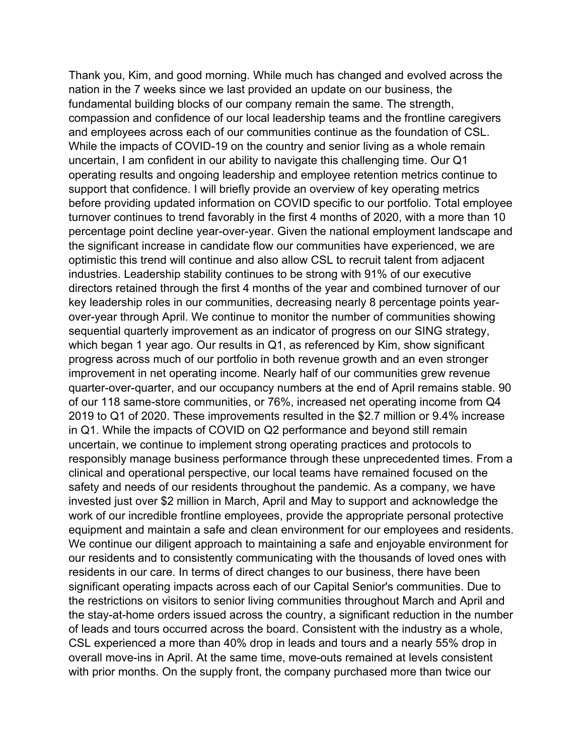Thank you, Kim, and good morning. While much has changed and evolved across the nation in the 7 weeks since we last provided an update on our business, the fundamental building blocks of our company remain the same. The strength, compassion and confidence of our local leadership teams and the frontline caregivers and employees across each of our communities continue as the foundation of CSL. While the impacts of COVID-19 on the country and senior living as a whole remain uncertain, I am confident in our ability to navigate this challenging time. Our Q1 operating results and ongoing leadership and employee retention metrics continue to support that confidence. I will briefly provide an overview of key operating metrics before providing updated information on COVID specific to our portfolio. Total employee turnover continues to trend favorably in the first 4 months of 2020, with a more than 10 percentage point decline year-over-year. Given the national employment landscape and the significant increase in candidate flow our communities have experienced, we are optimistic this trend will continue and also allow CSL to recruit talent from adjacent industries. Leadership stability continues to be strong with 91% of our executive directors retained through the first 4 months of the year and combined turnover of our key leadership roles in our communities, decreasing nearly 8 percentage points yearover-year through April. We continue to monitor the number of communities showing sequential quarterly improvement as an indicator of progress on our SING strategy, which began 1 year ago. Our results in Q1, as referenced by Kim, show significant progress across much of our portfolio in both revenue growth and an even stronger improvement in net operating income. Nearly half of our communities grew revenue quarter-over-quarter, and our occupancy numbers at the end of April remains stable. 90 of our 118 same-store communities, or 76%, increased net operating income from Q4 2019 to Q1 of 2020. These improvements resulted in the \$2.7 million or 9.4% increase in Q1. While the impacts of COVID on Q2 performance and beyond still remain uncertain, we continue to implement strong operating practices and protocols to responsibly manage business performance through these unprecedented times. From a clinical and operational perspective, our local teams have remained focused on the safety and needs of our residents throughout the pandemic. As a company, we have invested just over \$2 million in March, April and May to support and acknowledge the work of our incredible frontline employees, provide the appropriate personal protective equipment and maintain a safe and clean environment for our employees and residents. We continue our diligent approach to maintaining a safe and enjoyable environment for our residents and to consistently communicating with the thousands of loved ones with residents in our care. In terms of direct changes to our business, there have been significant operating impacts across each of our Capital Senior's communities. Due to the restrictions on visitors to senior living communities throughout March and April and the stay-at-home orders issued across the country, a significant reduction in the number of leads and tours occurred across the board. Consistent with the industry as a whole, CSL experienced a more than 40% drop in leads and tours and a nearly 55% drop in overall move-ins in April. At the same time, move-outs remained at levels consistent with prior months. On the supply front, the company purchased more than twice our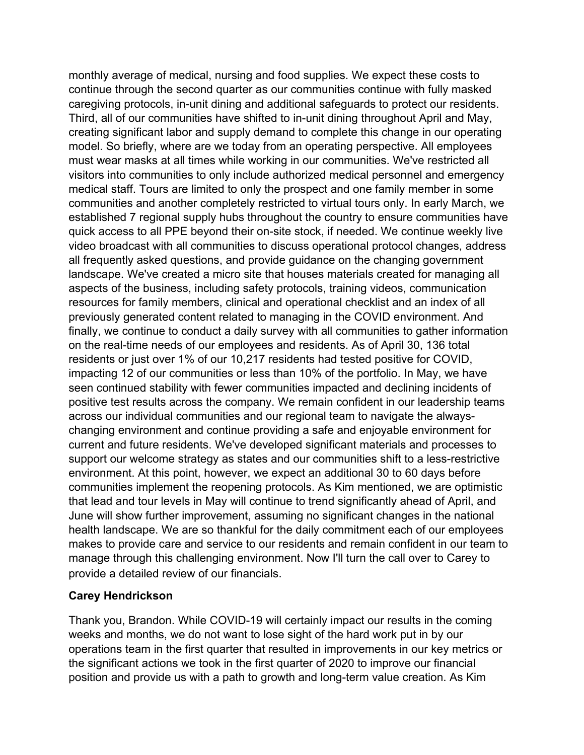monthly average of medical, nursing and food supplies. We expect these costs to continue through the second quarter as our communities continue with fully masked caregiving protocols, in-unit dining and additional safeguards to protect our residents. Third, all of our communities have shifted to in-unit dining throughout April and May, creating significant labor and supply demand to complete this change in our operating model. So briefly, where are we today from an operating perspective. All employees must wear masks at all times while working in our communities. We've restricted all visitors into communities to only include authorized medical personnel and emergency medical staff. Tours are limited to only the prospect and one family member in some communities and another completely restricted to virtual tours only. In early March, we established 7 regional supply hubs throughout the country to ensure communities have quick access to all PPE beyond their on-site stock, if needed. We continue weekly live video broadcast with all communities to discuss operational protocol changes, address all frequently asked questions, and provide guidance on the changing government landscape. We've created a micro site that houses materials created for managing all aspects of the business, including safety protocols, training videos, communication resources for family members, clinical and operational checklist and an index of all previously generated content related to managing in the COVID environment. And finally, we continue to conduct a daily survey with all communities to gather information on the real-time needs of our employees and residents. As of April 30, 136 total residents or just over 1% of our 10,217 residents had tested positive for COVID, impacting 12 of our communities or less than 10% of the portfolio. In May, we have seen continued stability with fewer communities impacted and declining incidents of positive test results across the company. We remain confident in our leadership teams across our individual communities and our regional team to navigate the alwayschanging environment and continue providing a safe and enjoyable environment for current and future residents. We've developed significant materials and processes to support our welcome strategy as states and our communities shift to a less-restrictive environment. At this point, however, we expect an additional 30 to 60 days before communities implement the reopening protocols. As Kim mentioned, we are optimistic that lead and tour levels in May will continue to trend significantly ahead of April, and June will show further improvement, assuming no significant changes in the national health landscape. We are so thankful for the daily commitment each of our employees makes to provide care and service to our residents and remain confident in our team to manage through this challenging environment. Now I'll turn the call over to Carey to provide a detailed review of our financials.

#### **Carey Hendrickson**

Thank you, Brandon. While COVID-19 will certainly impact our results in the coming weeks and months, we do not want to lose sight of the hard work put in by our operations team in the first quarter that resulted in improvements in our key metrics or the significant actions we took in the first quarter of 2020 to improve our financial position and provide us with a path to growth and long-term value creation. As Kim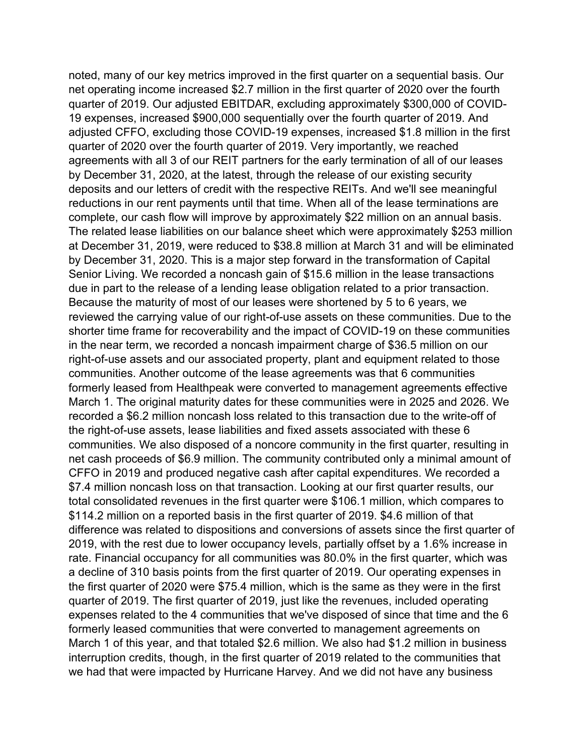noted, many of our key metrics improved in the first quarter on a sequential basis. Our net operating income increased \$2.7 million in the first quarter of 2020 over the fourth quarter of 2019. Our adjusted EBITDAR, excluding approximately \$300,000 of COVID-19 expenses, increased \$900,000 sequentially over the fourth quarter of 2019. And adjusted CFFO, excluding those COVID-19 expenses, increased \$1.8 million in the first quarter of 2020 over the fourth quarter of 2019. Very importantly, we reached agreements with all 3 of our REIT partners for the early termination of all of our leases by December 31, 2020, at the latest, through the release of our existing security deposits and our letters of credit with the respective REITs. And we'll see meaningful reductions in our rent payments until that time. When all of the lease terminations are complete, our cash flow will improve by approximately \$22 million on an annual basis. The related lease liabilities on our balance sheet which were approximately \$253 million at December 31, 2019, were reduced to \$38.8 million at March 31 and will be eliminated by December 31, 2020. This is a major step forward in the transformation of Capital Senior Living. We recorded a noncash gain of \$15.6 million in the lease transactions due in part to the release of a lending lease obligation related to a prior transaction. Because the maturity of most of our leases were shortened by 5 to 6 years, we reviewed the carrying value of our right-of-use assets on these communities. Due to the shorter time frame for recoverability and the impact of COVID-19 on these communities in the near term, we recorded a noncash impairment charge of \$36.5 million on our right-of-use assets and our associated property, plant and equipment related to those communities. Another outcome of the lease agreements was that 6 communities formerly leased from Healthpeak were converted to management agreements effective March 1. The original maturity dates for these communities were in 2025 and 2026. We recorded a \$6.2 million noncash loss related to this transaction due to the write-off of the right-of-use assets, lease liabilities and fixed assets associated with these 6 communities. We also disposed of a noncore community in the first quarter, resulting in net cash proceeds of \$6.9 million. The community contributed only a minimal amount of CFFO in 2019 and produced negative cash after capital expenditures. We recorded a \$7.4 million noncash loss on that transaction. Looking at our first quarter results, our total consolidated revenues in the first quarter were \$106.1 million, which compares to \$114.2 million on a reported basis in the first quarter of 2019. \$4.6 million of that difference was related to dispositions and conversions of assets since the first quarter of 2019, with the rest due to lower occupancy levels, partially offset by a 1.6% increase in rate. Financial occupancy for all communities was 80.0% in the first quarter, which was a decline of 310 basis points from the first quarter of 2019. Our operating expenses in the first quarter of 2020 were \$75.4 million, which is the same as they were in the first quarter of 2019. The first quarter of 2019, just like the revenues, included operating expenses related to the 4 communities that we've disposed of since that time and the 6 formerly leased communities that were converted to management agreements on March 1 of this year, and that totaled \$2.6 million. We also had \$1.2 million in business interruption credits, though, in the first quarter of 2019 related to the communities that we had that were impacted by Hurricane Harvey. And we did not have any business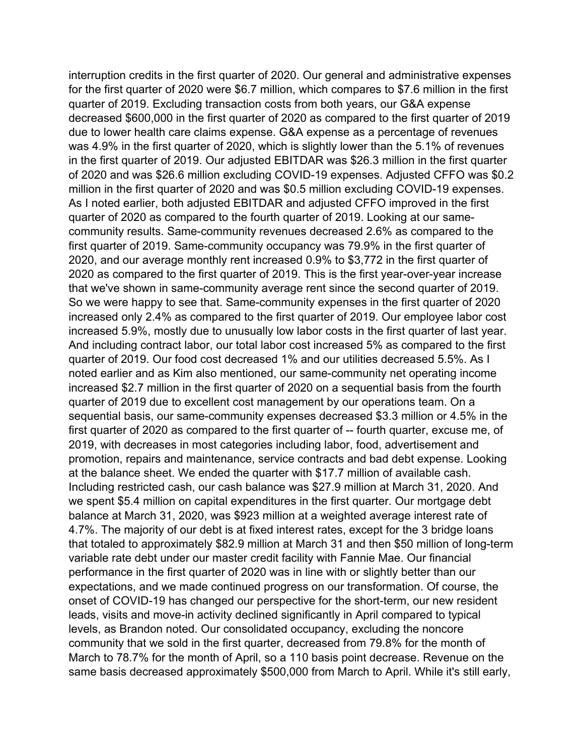interruption credits in the first quarter of 2020. Our general and administrative expenses for the first quarter of 2020 were \$6.7 million, which compares to \$7.6 million in the first quarter of 2019. Excluding transaction costs from both years, our G&A expense decreased \$600,000 in the first quarter of 2020 as compared to the first quarter of 2019 due to lower health care claims expense. G&A expense as a percentage of revenues was 4.9% in the first quarter of 2020, which is slightly lower than the 5.1% of revenues in the first quarter of 2019. Our adjusted EBITDAR was \$26.3 million in the first quarter of 2020 and was \$26.6 million excluding COVID-19 expenses. Adjusted CFFO was \$0.2 million in the first quarter of 2020 and was \$0.5 million excluding COVID-19 expenses. As I noted earlier, both adjusted EBITDAR and adjusted CFFO improved in the first quarter of 2020 as compared to the fourth quarter of 2019. Looking at our samecommunity results. Same-community revenues decreased 2.6% as compared to the first quarter of 2019. Same-community occupancy was 79.9% in the first quarter of 2020, and our average monthly rent increased 0.9% to \$3,772 in the first quarter of 2020 as compared to the first quarter of 2019. This is the first year-over-year increase that we've shown in same-community average rent since the second quarter of 2019. So we were happy to see that. Same-community expenses in the first quarter of 2020 increased only 2.4% as compared to the first quarter of 2019. Our employee labor cost increased 5.9%, mostly due to unusually low labor costs in the first quarter of last year. And including contract labor, our total labor cost increased 5% as compared to the first quarter of 2019. Our food cost decreased 1% and our utilities decreased 5.5%. As I noted earlier and as Kim also mentioned, our same-community net operating income increased \$2.7 million in the first quarter of 2020 on a sequential basis from the fourth quarter of 2019 due to excellent cost management by our operations team. On a sequential basis, our same-community expenses decreased \$3.3 million or 4.5% in the first quarter of 2020 as compared to the first quarter of -- fourth quarter, excuse me, of 2019, with decreases in most categories including labor, food, advertisement and promotion, repairs and maintenance, service contracts and bad debt expense. Looking at the balance sheet. We ended the quarter with \$17.7 million of available cash. Including restricted cash, our cash balance was \$27.9 million at March 31, 2020. And we spent \$5.4 million on capital expenditures in the first quarter. Our mortgage debt balance at March 31, 2020, was \$923 million at a weighted average interest rate of 4.7%. The majority of our debt is at fixed interest rates, except for the 3 bridge loans that totaled to approximately \$82.9 million at March 31 and then \$50 million of long-term variable rate debt under our master credit facility with Fannie Mae. Our financial performance in the first quarter of 2020 was in line with or slightly better than our expectations, and we made continued progress on our transformation. Of course, the onset of COVID-19 has changed our perspective for the short-term, our new resident leads, visits and move-in activity declined significantly in April compared to typical levels, as Brandon noted. Our consolidated occupancy, excluding the noncore community that we sold in the first quarter, decreased from 79.8% for the month of March to 78.7% for the month of April, so a 110 basis point decrease. Revenue on the same basis decreased approximately \$500,000 from March to April. While it's still early,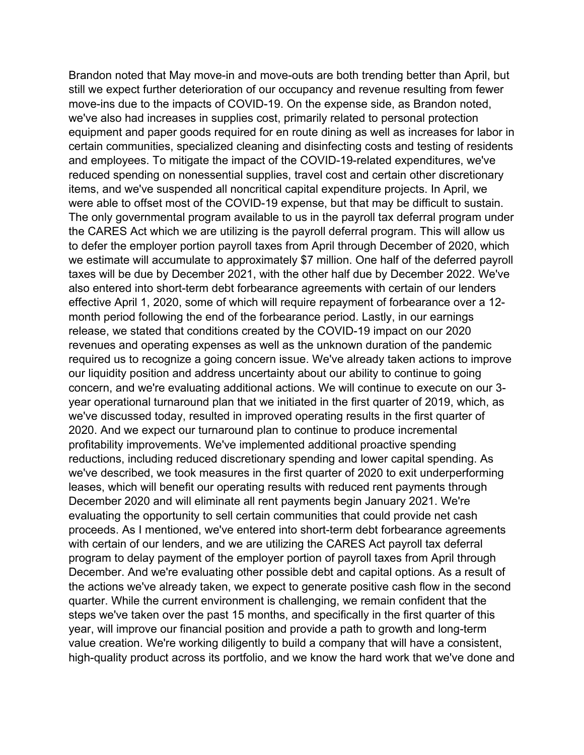Brandon noted that May move-in and move-outs are both trending better than April, but still we expect further deterioration of our occupancy and revenue resulting from fewer move-ins due to the impacts of COVID-19. On the expense side, as Brandon noted, we've also had increases in supplies cost, primarily related to personal protection equipment and paper goods required for en route dining as well as increases for labor in certain communities, specialized cleaning and disinfecting costs and testing of residents and employees. To mitigate the impact of the COVID-19-related expenditures, we've reduced spending on nonessential supplies, travel cost and certain other discretionary items, and we've suspended all noncritical capital expenditure projects. In April, we were able to offset most of the COVID-19 expense, but that may be difficult to sustain. The only governmental program available to us in the payroll tax deferral program under the CARES Act which we are utilizing is the payroll deferral program. This will allow us to defer the employer portion payroll taxes from April through December of 2020, which we estimate will accumulate to approximately \$7 million. One half of the deferred payroll taxes will be due by December 2021, with the other half due by December 2022. We've also entered into short-term debt forbearance agreements with certain of our lenders effective April 1, 2020, some of which will require repayment of forbearance over a 12 month period following the end of the forbearance period. Lastly, in our earnings release, we stated that conditions created by the COVID-19 impact on our 2020 revenues and operating expenses as well as the unknown duration of the pandemic required us to recognize a going concern issue. We've already taken actions to improve our liquidity position and address uncertainty about our ability to continue to going concern, and we're evaluating additional actions. We will continue to execute on our 3 year operational turnaround plan that we initiated in the first quarter of 2019, which, as we've discussed today, resulted in improved operating results in the first quarter of 2020. And we expect our turnaround plan to continue to produce incremental profitability improvements. We've implemented additional proactive spending reductions, including reduced discretionary spending and lower capital spending. As we've described, we took measures in the first quarter of 2020 to exit underperforming leases, which will benefit our operating results with reduced rent payments through December 2020 and will eliminate all rent payments begin January 2021. We're evaluating the opportunity to sell certain communities that could provide net cash proceeds. As I mentioned, we've entered into short-term debt forbearance agreements with certain of our lenders, and we are utilizing the CARES Act payroll tax deferral program to delay payment of the employer portion of payroll taxes from April through December. And we're evaluating other possible debt and capital options. As a result of the actions we've already taken, we expect to generate positive cash flow in the second quarter. While the current environment is challenging, we remain confident that the steps we've taken over the past 15 months, and specifically in the first quarter of this year, will improve our financial position and provide a path to growth and long-term value creation. We're working diligently to build a company that will have a consistent, high-quality product across its portfolio, and we know the hard work that we've done and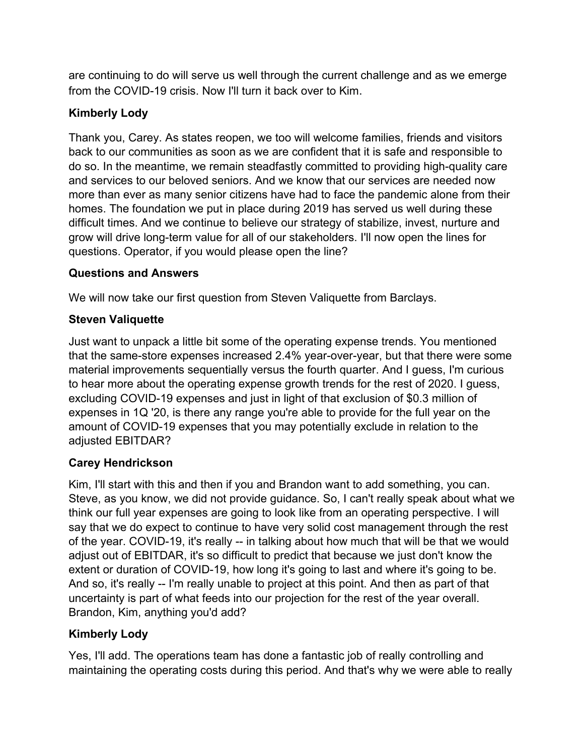are continuing to do will serve us well through the current challenge and as we emerge from the COVID-19 crisis. Now I'll turn it back over to Kim.

## **Kimberly Lody**

Thank you, Carey. As states reopen, we too will welcome families, friends and visitors back to our communities as soon as we are confident that it is safe and responsible to do so. In the meantime, we remain steadfastly committed to providing high-quality care and services to our beloved seniors. And we know that our services are needed now more than ever as many senior citizens have had to face the pandemic alone from their homes. The foundation we put in place during 2019 has served us well during these difficult times. And we continue to believe our strategy of stabilize, invest, nurture and grow will drive long-term value for all of our stakeholders. I'll now open the lines for questions. Operator, if you would please open the line?

### **Questions and Answers**

We will now take our first question from Steven Valiquette from Barclays.

## **Steven Valiquette**

Just want to unpack a little bit some of the operating expense trends. You mentioned that the same-store expenses increased 2.4% year-over-year, but that there were some material improvements sequentially versus the fourth quarter. And I guess, I'm curious to hear more about the operating expense growth trends for the rest of 2020. I guess, excluding COVID-19 expenses and just in light of that exclusion of \$0.3 million of expenses in 1Q '20, is there any range you're able to provide for the full year on the amount of COVID-19 expenses that you may potentially exclude in relation to the adjusted EBITDAR?

## **Carey Hendrickson**

Kim, I'll start with this and then if you and Brandon want to add something, you can. Steve, as you know, we did not provide guidance. So, I can't really speak about what we think our full year expenses are going to look like from an operating perspective. I will say that we do expect to continue to have very solid cost management through the rest of the year. COVID-19, it's really -- in talking about how much that will be that we would adjust out of EBITDAR, it's so difficult to predict that because we just don't know the extent or duration of COVID-19, how long it's going to last and where it's going to be. And so, it's really -- I'm really unable to project at this point. And then as part of that uncertainty is part of what feeds into our projection for the rest of the year overall. Brandon, Kim, anything you'd add?

## **Kimberly Lody**

Yes, I'll add. The operations team has done a fantastic job of really controlling and maintaining the operating costs during this period. And that's why we were able to really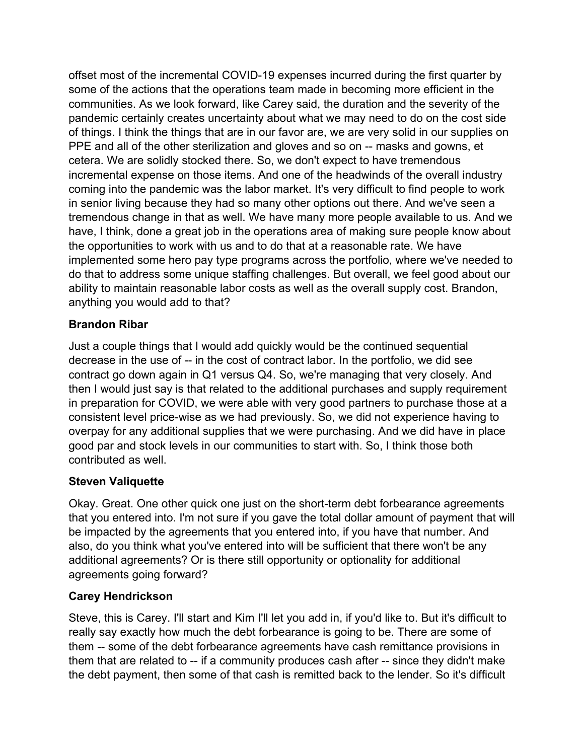offset most of the incremental COVID-19 expenses incurred during the first quarter by some of the actions that the operations team made in becoming more efficient in the communities. As we look forward, like Carey said, the duration and the severity of the pandemic certainly creates uncertainty about what we may need to do on the cost side of things. I think the things that are in our favor are, we are very solid in our supplies on PPE and all of the other sterilization and gloves and so on -- masks and gowns, et cetera. We are solidly stocked there. So, we don't expect to have tremendous incremental expense on those items. And one of the headwinds of the overall industry coming into the pandemic was the labor market. It's very difficult to find people to work in senior living because they had so many other options out there. And we've seen a tremendous change in that as well. We have many more people available to us. And we have, I think, done a great job in the operations area of making sure people know about the opportunities to work with us and to do that at a reasonable rate. We have implemented some hero pay type programs across the portfolio, where we've needed to do that to address some unique staffing challenges. But overall, we feel good about our ability to maintain reasonable labor costs as well as the overall supply cost. Brandon, anything you would add to that?

### **Brandon Ribar**

Just a couple things that I would add quickly would be the continued sequential decrease in the use of -- in the cost of contract labor. In the portfolio, we did see contract go down again in Q1 versus Q4. So, we're managing that very closely. And then I would just say is that related to the additional purchases and supply requirement in preparation for COVID, we were able with very good partners to purchase those at a consistent level price-wise as we had previously. So, we did not experience having to overpay for any additional supplies that we were purchasing. And we did have in place good par and stock levels in our communities to start with. So, I think those both contributed as well.

#### **Steven Valiquette**

Okay. Great. One other quick one just on the short-term debt forbearance agreements that you entered into. I'm not sure if you gave the total dollar amount of payment that will be impacted by the agreements that you entered into, if you have that number. And also, do you think what you've entered into will be sufficient that there won't be any additional agreements? Or is there still opportunity or optionality for additional agreements going forward?

## **Carey Hendrickson**

Steve, this is Carey. I'll start and Kim I'll let you add in, if you'd like to. But it's difficult to really say exactly how much the debt forbearance is going to be. There are some of them -- some of the debt forbearance agreements have cash remittance provisions in them that are related to -- if a community produces cash after -- since they didn't make the debt payment, then some of that cash is remitted back to the lender. So it's difficult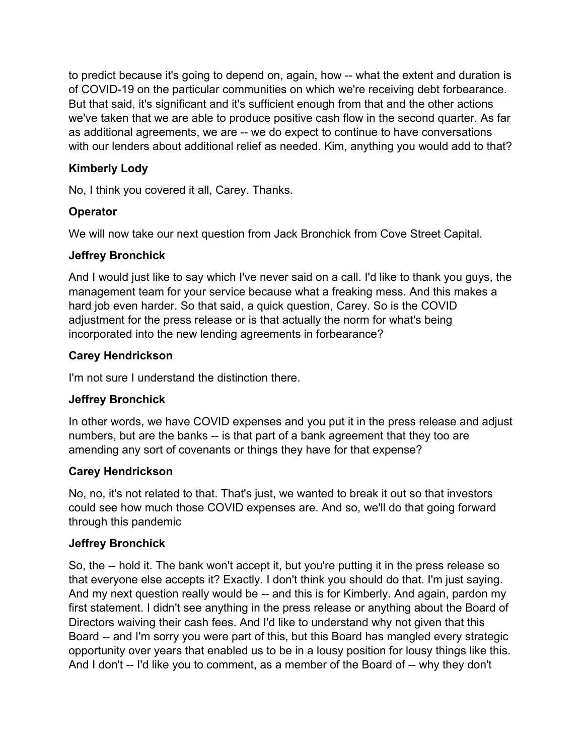to predict because it's going to depend on, again, how -- what the extent and duration is of COVID-19 on the particular communities on which we're receiving debt forbearance. But that said, it's significant and it's sufficient enough from that and the other actions we've taken that we are able to produce positive cash flow in the second quarter. As far as additional agreements, we are -- we do expect to continue to have conversations with our lenders about additional relief as needed. Kim, anything you would add to that?

## **Kimberly Lody**

No, I think you covered it all, Carey. Thanks.

### **Operator**

We will now take our next question from Jack Bronchick from Cove Street Capital.

#### **Jeffrey Bronchick**

And I would just like to say which I've never said on a call. I'd like to thank you guys, the management team for your service because what a freaking mess. And this makes a hard job even harder. So that said, a quick question, Carey. So is the COVID adjustment for the press release or is that actually the norm for what's being incorporated into the new lending agreements in forbearance?

#### **Carey Hendrickson**

I'm not sure I understand the distinction there.

#### **Jeffrey Bronchick**

In other words, we have COVID expenses and you put it in the press release and adjust numbers, but are the banks -- is that part of a bank agreement that they too are amending any sort of covenants or things they have for that expense?

#### **Carey Hendrickson**

No, no, it's not related to that. That's just, we wanted to break it out so that investors could see how much those COVID expenses are. And so, we'll do that going forward through this pandemic

#### **Jeffrey Bronchick**

So, the -- hold it. The bank won't accept it, but you're putting it in the press release so that everyone else accepts it? Exactly. I don't think you should do that. I'm just saying. And my next question really would be -- and this is for Kimberly. And again, pardon my first statement. I didn't see anything in the press release or anything about the Board of Directors waiving their cash fees. And I'd like to understand why not given that this Board -- and I'm sorry you were part of this, but this Board has mangled every strategic opportunity over years that enabled us to be in a lousy position for lousy things like this. And I don't -- I'd like you to comment, as a member of the Board of -- why they don't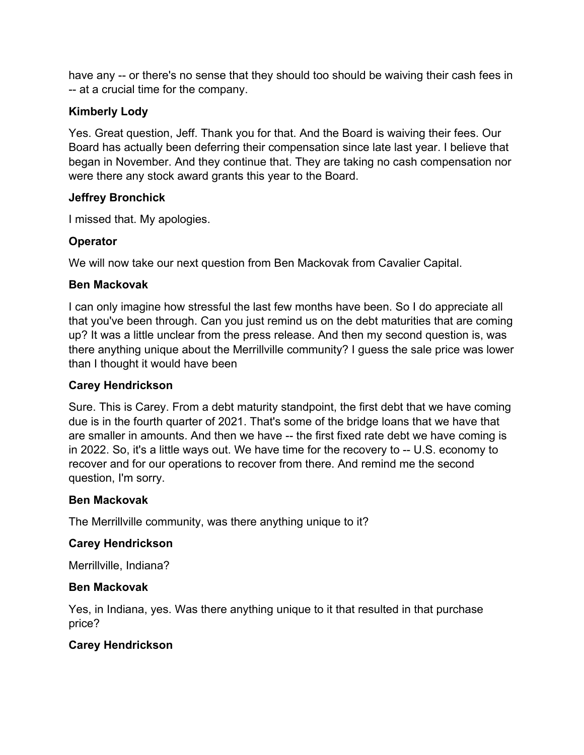have any -- or there's no sense that they should too should be waiving their cash fees in -- at a crucial time for the company.

### **Kimberly Lody**

Yes. Great question, Jeff. Thank you for that. And the Board is waiving their fees. Our Board has actually been deferring their compensation since late last year. I believe that began in November. And they continue that. They are taking no cash compensation nor were there any stock award grants this year to the Board.

#### **Jeffrey Bronchick**

I missed that. My apologies.

#### **Operator**

We will now take our next question from Ben Mackovak from Cavalier Capital.

### **Ben Mackovak**

I can only imagine how stressful the last few months have been. So I do appreciate all that you've been through. Can you just remind us on the debt maturities that are coming up? It was a little unclear from the press release. And then my second question is, was there anything unique about the Merrillville community? I guess the sale price was lower than I thought it would have been

#### **Carey Hendrickson**

Sure. This is Carey. From a debt maturity standpoint, the first debt that we have coming due is in the fourth quarter of 2021. That's some of the bridge loans that we have that are smaller in amounts. And then we have -- the first fixed rate debt we have coming is in 2022. So, it's a little ways out. We have time for the recovery to -- U.S. economy to recover and for our operations to recover from there. And remind me the second question, I'm sorry.

#### **Ben Mackovak**

The Merrillville community, was there anything unique to it?

#### **Carey Hendrickson**

Merrillville, Indiana?

## **Ben Mackovak**

Yes, in Indiana, yes. Was there anything unique to it that resulted in that purchase price?

## **Carey Hendrickson**